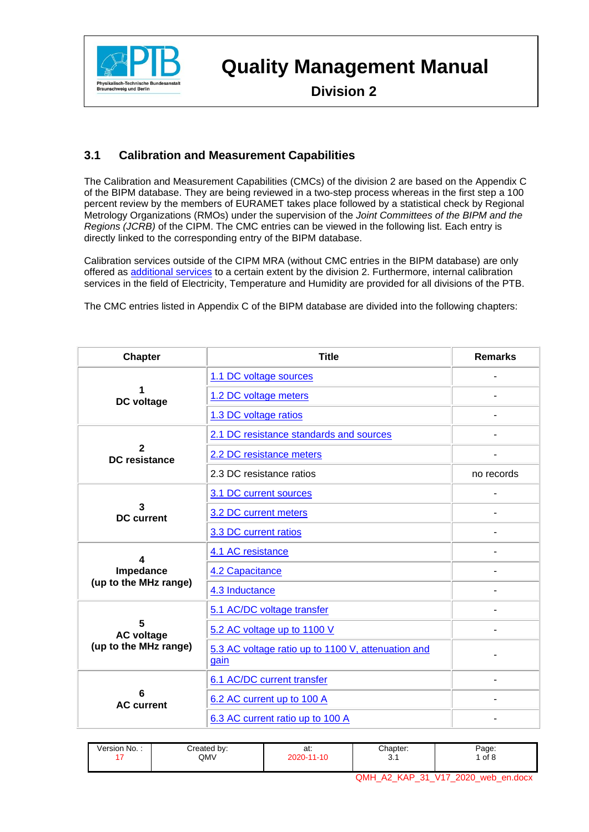

 **Division 2**

#### **3.1 Calibration and Measurement Capabilities**

The Calibration and Measurement Capabilities (CMCs) of the division 2 are based on the Appendix C of the BIPM database. They are being reviewed in a two-step process whereas in the first step a 100 percent review by the members of EURAMET takes place followed by a statistical check by Regional Metrology Organizations (RMOs) under the supervision of the *Joint Committees of the BIPM and the Regions (JCRB)* of the CIPM. The CMC entries can be viewed in the following list. Each entry is directly linked to the corresponding entry of the BIPM database.

Calibration services outside of the CIPM MRA (without CMC entries in the BIPM database) are only offered as [additional services](#page-3-0) to a certain extent by the division 2. Furthermore, internal calibration services in the field of Electricity, Temperature and Humidity are provided for all divisions of the PTB.

The CMC entries listed in Appendix C of the BIPM database are divided into the following chapters:

| <b>Chapter</b>                                 | <b>Title</b>                                                                                                                                                                                                                                                                                                                                                                                                                                                                                                 | <b>Remarks</b> |  |
|------------------------------------------------|--------------------------------------------------------------------------------------------------------------------------------------------------------------------------------------------------------------------------------------------------------------------------------------------------------------------------------------------------------------------------------------------------------------------------------------------------------------------------------------------------------------|----------------|--|
|                                                | 1.1 DC voltage sources                                                                                                                                                                                                                                                                                                                                                                                                                                                                                       |                |  |
|                                                | 1.2 DC voltage meters                                                                                                                                                                                                                                                                                                                                                                                                                                                                                        |                |  |
|                                                | 1.3 DC voltage ratios                                                                                                                                                                                                                                                                                                                                                                                                                                                                                        |                |  |
|                                                | DC voltage<br>2.1 DC resistance standards and sources<br>2<br>2.2 DC resistance meters<br><b>DC</b> resistance<br>2.3 DC resistance ratios<br>3.1 DC current sources<br>3<br>3.2 DC current meters<br><b>DC</b> current<br>3.3 DC current ratios<br>4.1 AC resistance<br>4<br>Impedance<br>4.2 Capacitance<br>4.3 Inductance<br>5.1 AC/DC voltage transfer<br>5<br>5.2 AC voltage up to 1100 V<br><b>AC voltage</b><br>gain<br>6.1 AC/DC current transfer<br>6.2 AC current up to 100 A<br><b>AC current</b> |                |  |
|                                                |                                                                                                                                                                                                                                                                                                                                                                                                                                                                                                              |                |  |
|                                                |                                                                                                                                                                                                                                                                                                                                                                                                                                                                                                              | no records     |  |
|                                                |                                                                                                                                                                                                                                                                                                                                                                                                                                                                                                              |                |  |
|                                                |                                                                                                                                                                                                                                                                                                                                                                                                                                                                                                              | ۳              |  |
|                                                |                                                                                                                                                                                                                                                                                                                                                                                                                                                                                                              | ۰              |  |
|                                                |                                                                                                                                                                                                                                                                                                                                                                                                                                                                                                              |                |  |
| (up to the MHz range)<br>(up to the MHz range) |                                                                                                                                                                                                                                                                                                                                                                                                                                                                                                              |                |  |
|                                                |                                                                                                                                                                                                                                                                                                                                                                                                                                                                                                              |                |  |
|                                                |                                                                                                                                                                                                                                                                                                                                                                                                                                                                                                              |                |  |
|                                                |                                                                                                                                                                                                                                                                                                                                                                                                                                                                                                              |                |  |
|                                                | 5.3 AC voltage ratio up to 1100 V, attenuation and                                                                                                                                                                                                                                                                                                                                                                                                                                                           |                |  |
|                                                |                                                                                                                                                                                                                                                                                                                                                                                                                                                                                                              |                |  |
|                                                |                                                                                                                                                                                                                                                                                                                                                                                                                                                                                                              |                |  |
|                                                | 6.3 AC current ratio up to 100 A                                                                                                                                                                                                                                                                                                                                                                                                                                                                             |                |  |

| Version No. : | Created by:<br>QMV | at∶<br>2020-11-10 | Chapter:<br>J. | Page:<br>of 8                  |
|---------------|--------------------|-------------------|----------------|--------------------------------|
|               |                    |                   | HMC            | A2_KAP_31_V17_2020_web_en.docx |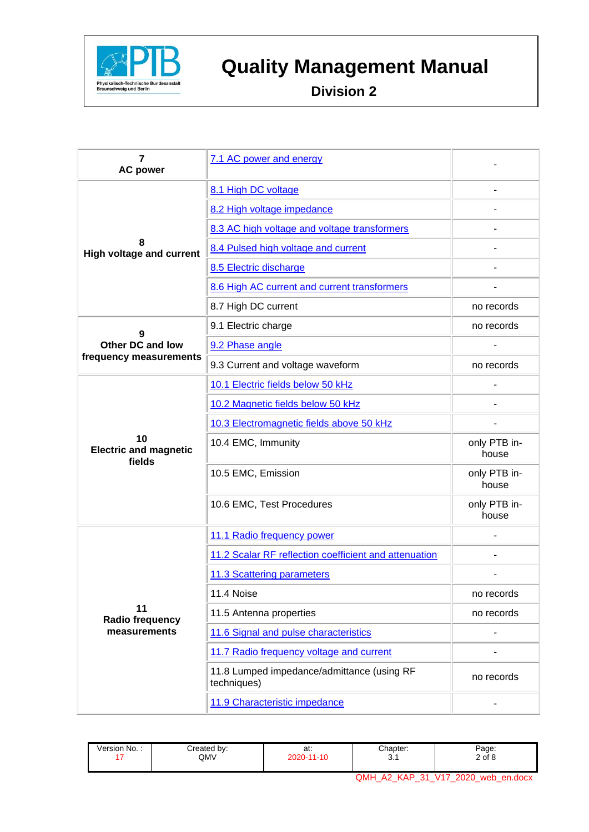

# **Report Februarisch Bundesanstalt**<br>Braysikalisch-Technische Bundesanstalt<br>Division 2

 **Division 2**

| $\overline{7}$<br><b>AC power</b>                                                                                                                                                      | 7.1 AC power and energy                               |                       |
|----------------------------------------------------------------------------------------------------------------------------------------------------------------------------------------|-------------------------------------------------------|-----------------------|
|                                                                                                                                                                                        | 8.1 High DC voltage                                   |                       |
|                                                                                                                                                                                        | 8.2 High voltage impedance                            |                       |
|                                                                                                                                                                                        | 8.3 AC high voltage and voltage transformers          |                       |
| 8                                                                                                                                                                                      | 8.4 Pulsed high voltage and current                   |                       |
|                                                                                                                                                                                        | 8.5 Electric discharge                                |                       |
|                                                                                                                                                                                        | 8.6 High AC current and current transformers          |                       |
|                                                                                                                                                                                        | 8.7 High DC current                                   | no records            |
|                                                                                                                                                                                        | no records                                            |                       |
| <b>Other DC and low</b>                                                                                                                                                                | 9.2 Phase angle                                       |                       |
|                                                                                                                                                                                        | 9.3 Current and voltage waveform                      | no records            |
|                                                                                                                                                                                        | 10.1 Electric fields below 50 kHz                     |                       |
| 10<br><b>Electric and magnetic</b><br>fields                                                                                                                                           | 10.2 Magnetic fields below 50 kHz                     |                       |
|                                                                                                                                                                                        | 10.3 Electromagnetic fields above 50 kHz              |                       |
|                                                                                                                                                                                        | 10.4 EMC, Immunity                                    | only PTB in-<br>house |
|                                                                                                                                                                                        | 10.5 EMC, Emission                                    | only PTB in-<br>house |
|                                                                                                                                                                                        | 10.6 EMC, Test Procedures                             | only PTB in-<br>house |
|                                                                                                                                                                                        | 11.1 Radio frequency power                            |                       |
| <b>High voltage and current</b><br>9.1 Electric charge<br>9<br>frequency measurements<br>11.4 Noise<br>11<br>11.5 Antenna properties<br>Radio frequency<br>measurements<br>techniques) | 11.2 Scalar RF reflection coefficient and attenuation |                       |
|                                                                                                                                                                                        | 11.3 Scattering parameters                            |                       |
|                                                                                                                                                                                        |                                                       | no records            |
|                                                                                                                                                                                        |                                                       | no records            |
|                                                                                                                                                                                        | 11.6 Signal and pulse characteristics                 |                       |
|                                                                                                                                                                                        | 11.7 Radio frequency voltage and current              |                       |
|                                                                                                                                                                                        | 11.8 Lumped impedance/admittance (using RF            | no records            |
|                                                                                                                                                                                        | 11.9 Characteristic impedance                         |                       |

| Version No. : | Created by:<br>QMV | at:<br>2020-11-10 | Chapter:<br>ັບ. ເ              | Page:<br>2 of 8                        |
|---------------|--------------------|-------------------|--------------------------------|----------------------------------------|
|               |                    |                   | NMQ<br><b>KAP</b><br>-31<br>A2 | V <sub>17</sub><br>2020<br>web en.docx |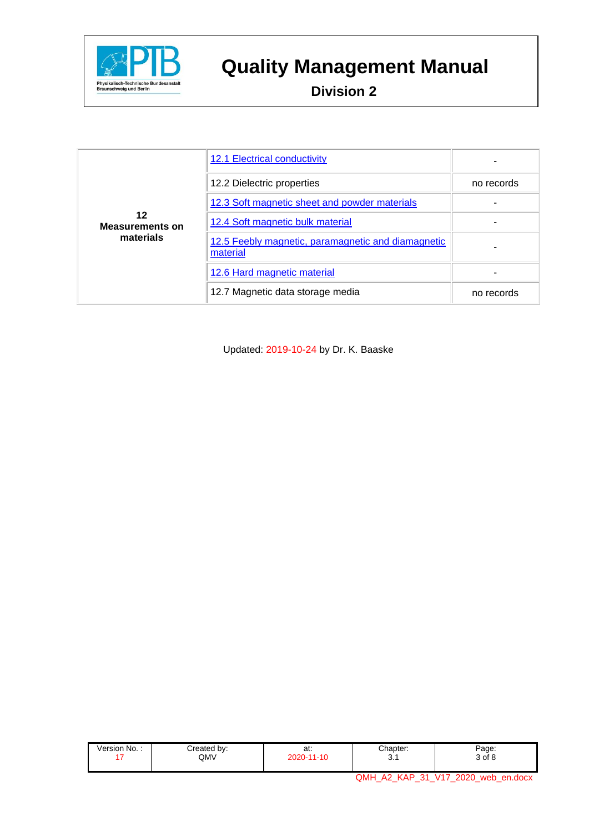

 **Division 2**

|                              | 12.1 Electrical conductivity                                   |            |
|------------------------------|----------------------------------------------------------------|------------|
|                              | 12.2 Dielectric properties                                     | no records |
|                              | 12.3 Soft magnetic sheet and powder materials                  |            |
| 12<br><b>Measurements on</b> | 12.4 Soft magnetic bulk material                               |            |
| materials                    | 12.5 Feebly magnetic, paramagnetic and diamagnetic<br>material |            |
|                              | 12.6 Hard magnetic material                                    |            |
|                              | 12.7 Magnetic data storage media                               | no records |

Updated: 2019-10-24 by Dr. K. Baaske

| $\overline{\phantom{a}}$<br>created by:<br>Version No. :<br>QMV | $\sim$<br>aı.<br>2020-<br>AC<br>1- I U | Chapter:<br>. <b>. .</b><br>⌒<br>$\mathbf{v}$ . | Page:<br>3 of 8 |
|-----------------------------------------------------------------|----------------------------------------|-------------------------------------------------|-----------------|
|-----------------------------------------------------------------|----------------------------------------|-------------------------------------------------|-----------------|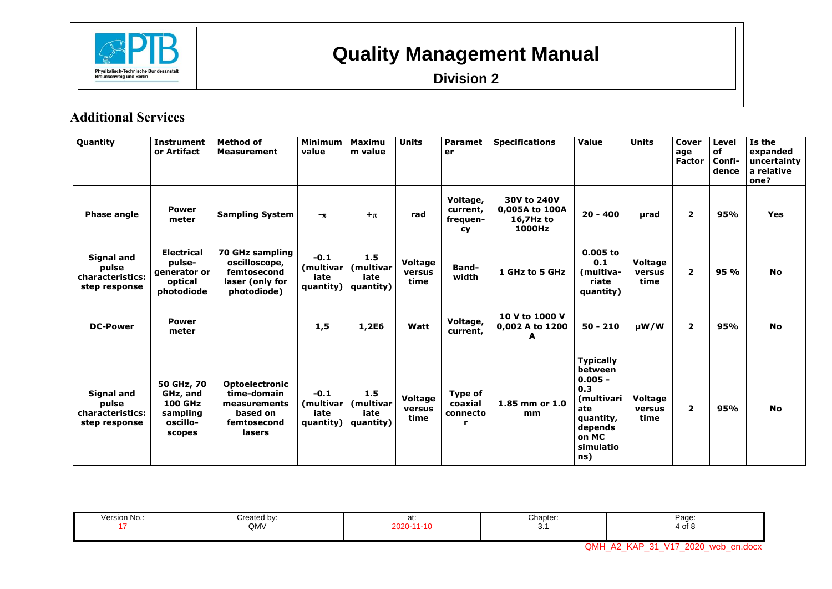

**Division 2**

### **Additional Services**

| Quantity                                                        | <b>Instrument</b><br>or Artifact                                           | <b>Method of</b><br><b>Measurement</b>                                                    | <b>Minimum</b><br>value                   | <b>Maximu</b><br>m value              | <b>Units</b>                     | <b>Paramet</b><br>er                          | <b>Specifications</b>                                | Value                                                                                                                     | <b>Units</b>                     | Cover<br>age<br>Factor | Level<br>of<br>Confi-<br>dence | Is the<br>expanded<br>uncertainty<br>a relative<br>one? |
|-----------------------------------------------------------------|----------------------------------------------------------------------------|-------------------------------------------------------------------------------------------|-------------------------------------------|---------------------------------------|----------------------------------|-----------------------------------------------|------------------------------------------------------|---------------------------------------------------------------------------------------------------------------------------|----------------------------------|------------------------|--------------------------------|---------------------------------------------------------|
| <b>Phase angle</b>                                              | <b>Power</b><br>meter                                                      | <b>Sampling System</b>                                                                    | $-\pi$                                    | $+\pi$                                | rad                              | Voltage,<br>current,<br>frequen-<br><b>cy</b> | 30V to 240V<br>0,005A to 100A<br>16,7Hz to<br>1000Hz | $20 - 400$                                                                                                                | µrad                             | $\overline{2}$         | 95%                            | Yes                                                     |
| Signal and<br>pulse<br>characteristics:<br>step response        | <b>Electrical</b><br>pulse-<br>generator or<br>optical<br>photodiode       | 70 GHz sampling<br>oscilloscope,<br>femtosecond<br>laser (only for<br>photodiode)         | $-0.1$<br>(multivar)<br>iate<br>quantity) | 1.5<br>(multivar<br>iate<br>quantity) | Voltage<br>versus<br>time        | Band-<br>width                                | 1 GHz to 5 GHz                                       | $0.005$ to<br>0.1<br>(multiva-<br>riate<br>quantity)                                                                      | <b>Voltage</b><br>versus<br>time | $\overline{2}$         | 95 %                           | <b>No</b>                                               |
| <b>DC-Power</b>                                                 | <b>Power</b><br>meter                                                      |                                                                                           | 1,5                                       | 1,2E6                                 | Watt                             | Voltage,<br>current,                          | 10 V to 1000 V<br>0,002 A to 1200<br>A               | $50 - 210$                                                                                                                | $\mu$ W/W                        | $\overline{2}$         | 95%                            | <b>No</b>                                               |
| <b>Signal and</b><br>pulse<br>characteristics:<br>step response | 50 GHz, 70<br>GHz, and<br><b>100 GHz</b><br>sampling<br>oscillo-<br>scopes | <b>Optoelectronic</b><br>time-domain<br>measurements<br>based on<br>femtosecond<br>lasers | $-0.1$<br>(multivar)<br>iate<br>quantity) | 1.5<br>(multivar<br>iate<br>quantity) | <b>Voltage</b><br>versus<br>time | Type of<br>coaxial<br>connecto<br>r           | 1.85 mm or 1.0<br>mm                                 | <b>Typically</b><br>between<br>$0.005 -$<br>0.3<br>(multivari<br>ate<br>quantity,<br>depends<br>on MC<br>simulatio<br>ns) | <b>Voltage</b><br>versus<br>time | $\overline{2}$         | 95%                            | <b>No</b>                                               |

<span id="page-3-0"></span>

| Version No | created by:<br>$\mathsf{QMV}$ | u.<br>በ2በ-<br>$\overline{A}$<br>- 16 | Chapter:<br>$\sim$ $\sim$<br>$\sim$<br>J. | Page.<br>4 of ১ |
|------------|-------------------------------|--------------------------------------|-------------------------------------------|-----------------|
|------------|-------------------------------|--------------------------------------|-------------------------------------------|-----------------|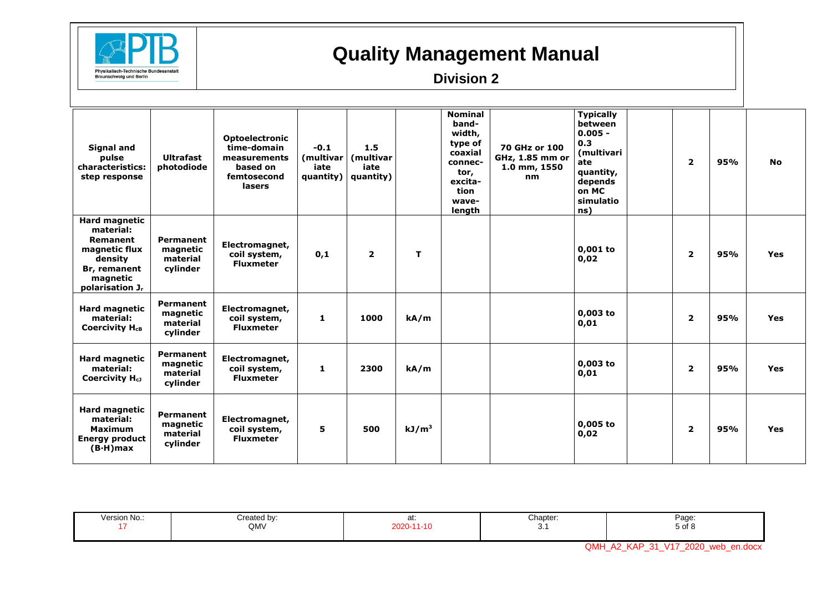

#### **Division 2**

| <b>Signal and</b><br>pulse<br>characteristics:<br>step response                                                               | <b>Ultrafast</b><br>photodiode                       | <b>Optoelectronic</b><br>time-domain<br>measurements<br>based on<br>femtosecond<br>lasers | $-0.1$<br>(multivar<br>iate<br>quantity) | 1.5<br>(multivar<br>iate<br>quantity) |                   | <b>Nominal</b><br>band-<br>width,<br>type of<br>coaxial<br>connec-<br>tor,<br>excita-<br>tion<br>wave-<br>length | 70 GHz or 100<br>GHz, 1.85 mm or<br>1.0 mm, 1550<br>nm | <b>Typically</b><br>between<br>$0.005 -$<br>0.3<br>(multivari<br>ate<br>quantity,<br>depends<br>on MC<br>simulatio<br>ns) | $\overline{2}$ | 95% | <b>No</b>  |
|-------------------------------------------------------------------------------------------------------------------------------|------------------------------------------------------|-------------------------------------------------------------------------------------------|------------------------------------------|---------------------------------------|-------------------|------------------------------------------------------------------------------------------------------------------|--------------------------------------------------------|---------------------------------------------------------------------------------------------------------------------------|----------------|-----|------------|
| Hard magnetic<br>material:<br>Remanent<br>magnetic flux<br>density<br>Br, remanent<br>magnetic<br>polarisation J <sub>r</sub> | Permanent<br>magnetic<br>material<br>cylinder        | Electromagnet,<br>coil system,<br><b>Fluxmeter</b>                                        | 0,1                                      | $\overline{2}$                        | T.                |                                                                                                                  |                                                        | $0,001$ to<br>0,02                                                                                                        | $\overline{2}$ | 95% | <b>Yes</b> |
| <b>Hard magnetic</b><br>material:<br>Coercivity H <sub>cB</sub>                                                               | <b>Permanent</b><br>magnetic<br>material<br>cylinder | Electromagnet,<br>coil system,<br><b>Fluxmeter</b>                                        | 1                                        | 1000                                  | kA/m              |                                                                                                                  |                                                        | $0,003$ to<br>0,01                                                                                                        | $\overline{2}$ | 95% | <b>Yes</b> |
| <b>Hard magnetic</b><br>material:<br>Coercivity $H_{c1}$                                                                      | Permanent<br>magnetic<br>material<br>cylinder        | Electromagnet,<br>coil system,<br><b>Fluxmeter</b>                                        | $\mathbf{1}$                             | 2300                                  | kA/m              |                                                                                                                  |                                                        | $0,003$ to<br>0,01                                                                                                        | $\overline{2}$ | 95% | <b>Yes</b> |
| <b>Hard magnetic</b><br>material:<br><b>Maximum</b><br><b>Energy product</b><br>$(B-H)$ max                                   | Permanent<br>magnetic<br>material<br>cylinder        | Electromagnet,<br>coil system,<br><b>Fluxmeter</b>                                        | 5                                        | 500                                   | kJ/m <sup>3</sup> |                                                                                                                  |                                                        | $0,005$ to<br>0,02                                                                                                        | $\overline{2}$ | 95% | <b>Yes</b> |

| Version No | $"$ contool<br>l bv:<br>QMV | aı. | Chapter.<br>J. | ∩∼מ<br>-aye<br>5 of 8 |
|------------|-----------------------------|-----|----------------|-----------------------|
|------------|-----------------------------|-----|----------------|-----------------------|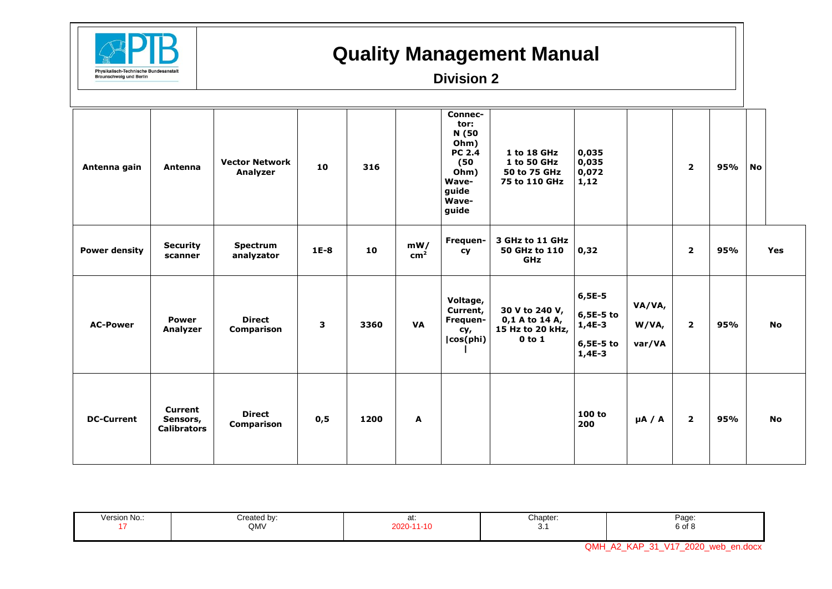

#### **Division 2**

| Antenna gain         | Antenna                                   | <b>Vector Network</b><br>Analyzer  | 10     | 316  |                        | Connec-<br>tor:<br>N (50<br>Ohm)<br><b>PC 2.4</b><br>(50)<br>Ohm)<br>Wave-<br>guide<br>Wave-<br>guide | 1 to 18 GHz<br>1 to 50 GHz<br>50 to 75 GHz<br>75 to 110 GHz        | 0,035<br>0,035<br>0,072<br>1,12                              |                           | $\overline{2}$ | 95% | <b>No</b> |
|----------------------|-------------------------------------------|------------------------------------|--------|------|------------------------|-------------------------------------------------------------------------------------------------------|--------------------------------------------------------------------|--------------------------------------------------------------|---------------------------|----------------|-----|-----------|
| <b>Power density</b> | <b>Security</b><br>scanner                | <b>Spectrum</b><br>analyzator      | $1E-8$ | 10   | mW/<br>cm <sup>2</sup> | Frequen-<br><b>cy</b>                                                                                 | 3 GHz to 11 GHz<br>50 GHz to 110<br><b>GHz</b>                     | 0,32                                                         |                           | $\overline{2}$ | 95% | Yes       |
| <b>AC-Power</b>      | <b>Power</b><br>Analyzer                  | <b>Direct</b><br><b>Comparison</b> | 3      | 3360 | <b>VA</b>              | Voltage,<br>Current,<br>Frequen-<br>cy,<br> cos(phi)                                                  | 30 V to 240 V,<br>0,1 A to 14 A,<br>15 Hz to 20 kHz,<br>$0$ to $1$ | $6,5E-5$<br>$6,5E-5$ to<br>$1,4E-3$<br>6,5E-5 to<br>$1,4E-3$ | VA/VA,<br>W/VA,<br>var/VA | $\overline{2}$ | 95% | <b>No</b> |
| <b>DC-Current</b>    | Current<br>Sensors,<br><b>Calibrators</b> | <b>Direct</b><br><b>Comparison</b> | 0,5    | 1200 | A                      |                                                                                                       |                                                                    | 100 to<br>200                                                | $\mu$ A / A               | $\overline{2}$ | 95% | No        |

|  | Chapter.<br>Version No.:<br>∩∼מ<br>Created b∨:<br>auu.<br>aı.<br>QMV<br>6 of 8<br>.<br>v. |  |
|--|-------------------------------------------------------------------------------------------|--|
|--|-------------------------------------------------------------------------------------------|--|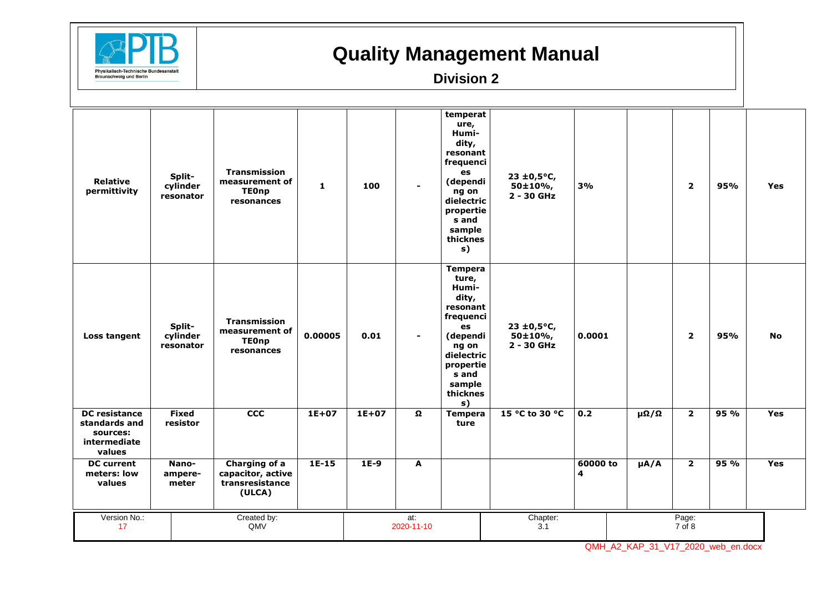

#### **Division 2**

| <b>Relative</b><br>permittivity                                             | Split-<br>cylinder<br>resonator | <b>Transmission</b><br>measurement of<br><b>TEOnp</b><br>resonances | $\mathbf{1}$ | 100       |                   | temperat<br>ure,<br>Humi-<br>dity,<br>resonant<br>frequenci<br>es<br>(dependi<br>ng on<br>dielectric<br>propertie<br>s and<br>sample<br>thicknes<br>s)        | $23 \pm 0.5$ °C,<br>50±10%,<br>$2 - 30$ GHz | 3%                         |                 | $\overline{2}$  | 95%  | Yes        |
|-----------------------------------------------------------------------------|---------------------------------|---------------------------------------------------------------------|--------------|-----------|-------------------|---------------------------------------------------------------------------------------------------------------------------------------------------------------|---------------------------------------------|----------------------------|-----------------|-----------------|------|------------|
| Loss tangent                                                                | Split-<br>cylinder<br>resonator | <b>Transmission</b><br>measurement of<br><b>TEOnp</b><br>resonances | 0.00005      | 0.01      | $\blacksquare$    | <b>Tempera</b><br>ture,<br>Humi-<br>dity,<br>resonant<br>frequenci<br>es<br>(dependi<br>ng on<br>dielectric<br>propertie<br>s and<br>sample<br>thicknes<br>s) | $23 \pm 0.5$ °C,<br>50±10%<br>2 - 30 GHz    | 0.0001                     |                 | $\overline{2}$  | 95%  | <b>No</b>  |
| <b>DC</b> resistance<br>standards and<br>sources:<br>intermediate<br>values | <b>Fixed</b><br>resistor        | $\overline{ccc}$                                                    | $1E+07$      | $1E + 07$ | $\Omega$          | <b>Tempera</b><br>ture                                                                                                                                        | 15 °C to 30 °C                              | 0.2                        | $\Omega/\Omega$ | $\overline{2}$  | 95%  | <b>Yes</b> |
| <b>DC</b> current<br>meters: low<br>values                                  | Nano-<br>ampere-<br>meter       | Charging of a<br>capacitor, active<br>transresistance<br>(ULCA)     | $1E-15$      | $1E-9$    | A                 |                                                                                                                                                               |                                             | 60000 to<br>$\overline{4}$ | $\mu$ A/A       | $\overline{2}$  | 95 % | <b>Yes</b> |
| Version No.:<br>17                                                          |                                 | Created by:<br>QMV                                                  |              |           | at:<br>2020-11-10 |                                                                                                                                                               | Chapter:<br>3.1                             |                            |                 | Page:<br>7 of 8 |      |            |